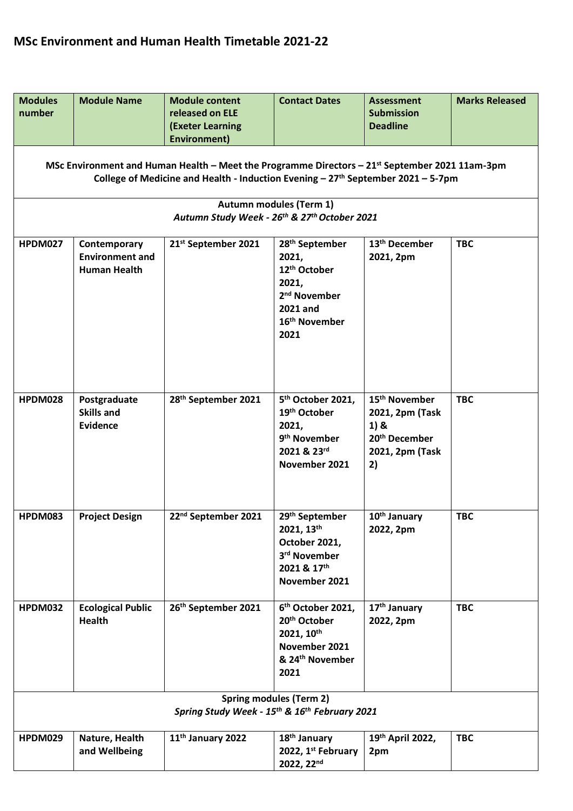| <b>Modules</b><br>number | <b>Module Name</b>                                            | <b>Module content</b><br>released on ELE<br><b>(Exeter Learning</b>                                                                                                                                 | <b>Contact Dates</b>                                                                                                                                  | <b>Assessment</b><br><b>Submission</b><br><b>Deadline</b>                                                    | <b>Marks Released</b> |
|--------------------------|---------------------------------------------------------------|-----------------------------------------------------------------------------------------------------------------------------------------------------------------------------------------------------|-------------------------------------------------------------------------------------------------------------------------------------------------------|--------------------------------------------------------------------------------------------------------------|-----------------------|
|                          |                                                               | <b>Environment)</b>                                                                                                                                                                                 |                                                                                                                                                       |                                                                                                              |                       |
|                          |                                                               | MSc Environment and Human Health – Meet the Programme Directors – $21^{st}$ September 2021 11am-3pm<br>College of Medicine and Health - Induction Evening - 27 <sup>th</sup> September 2021 - 5-7pm |                                                                                                                                                       |                                                                                                              |                       |
|                          |                                                               | Autumn Study Week - 26th & 27th October 2021                                                                                                                                                        | <b>Autumn modules (Term 1)</b>                                                                                                                        |                                                                                                              |                       |
| <b>HPDM027</b>           | Contemporary<br><b>Environment and</b><br><b>Human Health</b> | 21 <sup>st</sup> September 2021                                                                                                                                                                     | 28 <sup>th</sup> September<br>2021,<br>12 <sup>th</sup> October<br>2021,<br>2 <sup>nd</sup> November<br>2021 and<br>16 <sup>th</sup> November<br>2021 | 13 <sup>th</sup> December<br>2021, 2pm                                                                       | <b>TBC</b>            |
| HPDM028                  | Postgraduate<br><b>Skills and</b><br><b>Evidence</b>          | 28 <sup>th</sup> September 2021                                                                                                                                                                     | 5 <sup>th</sup> October 2021,<br>19 <sup>th</sup> October<br>2021,<br>9 <sup>th</sup> November<br>2021 & 23rd<br>November 2021                        | 15 <sup>th</sup> November<br>2021, 2pm (Task<br>$1)$ &<br>20 <sup>th</sup> December<br>2021, 2pm (Task<br>2) | <b>TBC</b>            |
| HPDM083                  | <b>Project Design</b>                                         | 22 <sup>nd</sup> September 2021                                                                                                                                                                     | 29 <sup>th</sup> September<br>2021, 13th<br>October 2021,<br>3rd November<br>2021 & 17th<br>November 2021                                             | 10 <sup>th</sup> January<br>2022, 2pm                                                                        | <b>TBC</b>            |
| <b>HPDM032</b>           | <b>Ecological Public</b><br><b>Health</b>                     | 26th September 2021                                                                                                                                                                                 | 6 <sup>th</sup> October 2021,<br>20 <sup>th</sup> October<br>2021, 10th<br>November 2021<br>& 24 <sup>th</sup> November<br>2021                       | 17 <sup>th</sup> January<br>2022, 2pm                                                                        | <b>TBC</b>            |
|                          |                                                               | Spring Study Week - 15 <sup>th</sup> & 16 <sup>th</sup> February 2021                                                                                                                               | <b>Spring modules (Term 2)</b>                                                                                                                        |                                                                                                              |                       |
| <b>HPDM029</b>           | Nature, Health<br>and Wellbeing                               | 11 <sup>th</sup> January 2022                                                                                                                                                                       | 18 <sup>th</sup> January<br>2022, 1 <sup>st</sup> February<br>2022, 22nd                                                                              | 19th April 2022,<br>2pm                                                                                      | <b>TBC</b>            |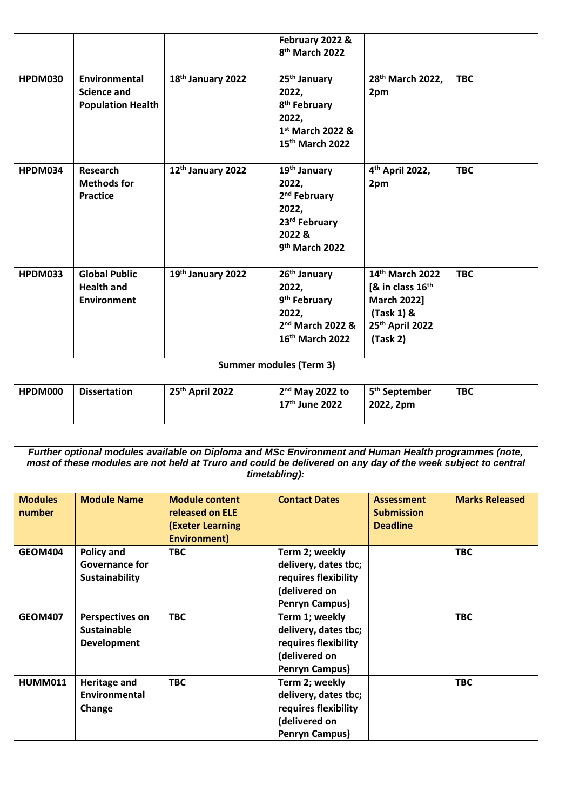|                                |                                                                 |                   | February 2022 &<br>8 <sup>th</sup> March 2022                                                                                   |                                                                                                            |            |
|--------------------------------|-----------------------------------------------------------------|-------------------|---------------------------------------------------------------------------------------------------------------------------------|------------------------------------------------------------------------------------------------------------|------------|
| <b>HPDM030</b>                 | Environmental<br><b>Science and</b><br><b>Population Health</b> | 18th January 2022 | 25 <sup>th</sup> January<br>2022,<br>8 <sup>th</sup> February<br>2022,<br>1st March 2022 &<br>15th March 2022                   | 28 <sup>th</sup> March 2022,<br>2pm                                                                        | <b>TBC</b> |
| HPDM034                        | <b>Research</b><br><b>Methods for</b><br><b>Practice</b>        | 12th January 2022 | 19 <sup>th</sup> January<br>2022,<br>2 <sup>nd</sup> February<br>2022,<br>23rd February<br>2022 &<br>9 <sup>th</sup> March 2022 | 4 <sup>th</sup> April 2022,<br>2pm                                                                         | <b>TBC</b> |
| <b>HPDM033</b>                 | <b>Global Public</b><br><b>Health and</b><br>Environment        | 19th January 2022 | 26 <sup>th</sup> January<br>2022,<br>9 <sup>th</sup> February<br>2022,<br>2 <sup>nd</sup> March 2022 &<br>16th March 2022       | 14th March 2022<br>[& in class $16th$<br><b>March 2022]</b><br>$(Task 1)$ &<br>25th April 2022<br>(Task 2) | <b>TBC</b> |
| <b>Summer modules (Term 3)</b> |                                                                 |                   |                                                                                                                                 |                                                                                                            |            |
| HPDM000                        | <b>Dissertation</b>                                             | 25th April 2022   | $2nd$ May 2022 to<br>17th June 2022                                                                                             | 5 <sup>th</sup> September<br>2022, 2pm                                                                     | <b>TBC</b> |

*Further optional modules available on Diploma and MSc Environment and Human Health programmes (note, most of these modules are not held at Truro and could be delivered on any day of the week subject to central timetabling):*

| <b>Modules</b><br>number | <b>Module Name</b>                                           | <b>Module content</b><br>released on ELE<br><b>(Exeter Learning</b><br>Environment) | <b>Contact Dates</b>                                                                                     | <b>Assessment</b><br><b>Submission</b><br><b>Deadline</b> | <b>Marks Released</b> |
|--------------------------|--------------------------------------------------------------|-------------------------------------------------------------------------------------|----------------------------------------------------------------------------------------------------------|-----------------------------------------------------------|-----------------------|
| <b>GEOM404</b>           | <b>Policy and</b><br><b>Governance for</b><br>Sustainability | <b>TBC</b>                                                                          | Term 2; weekly<br>delivery, dates tbc;<br>requires flexibility<br>(delivered on<br><b>Penryn Campus)</b> |                                                           | <b>TBC</b>            |
| <b>GEOM407</b>           | Perspectives on<br><b>Sustainable</b><br><b>Development</b>  | <b>TBC</b>                                                                          | Term 1; weekly<br>delivery, dates tbc;<br>requires flexibility<br>(delivered on<br><b>Penryn Campus)</b> |                                                           | <b>TBC</b>            |
| <b>HUMM011</b>           | <b>Heritage and</b><br>Environmental<br>Change               | <b>TBC</b>                                                                          | Term 2; weekly<br>delivery, dates tbc;<br>requires flexibility<br>(delivered on<br><b>Penryn Campus)</b> |                                                           | <b>TBC</b>            |